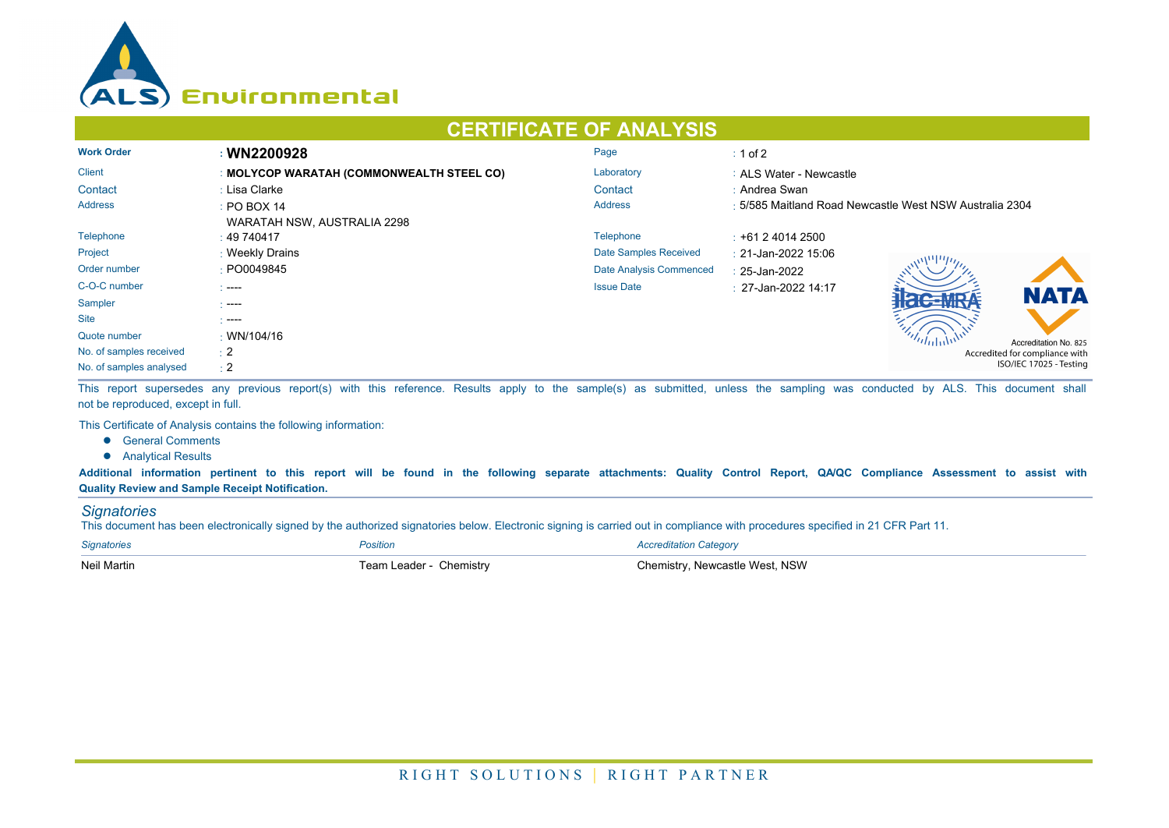

## **CERTIFICATE OF ANALYSIS**

| <b>Work Order</b>       | : WN2200928                               | Page                    | $\div$ 1 of 2                                           |  |  |
|-------------------------|-------------------------------------------|-------------------------|---------------------------------------------------------|--|--|
| <b>Client</b>           | : MOLYCOP WARATAH (COMMONWEALTH STEEL CO) | Laboratory              | : ALS Water - Newcastle                                 |  |  |
| Contact                 | : Lisa Clarke                             | Contact                 | : Andrea Swan                                           |  |  |
| <b>Address</b>          | $\div$ PO BOX 14                          | <b>Address</b>          | : 5/585 Maitland Road Newcastle West NSW Australia 2304 |  |  |
|                         | WARATAH NSW, AUSTRALIA 2298               |                         |                                                         |  |  |
| Telephone               | $\pm 49\,740417$                          | Telephone               | $\div$ +61 2 4014 2500                                  |  |  |
| Project                 | : Weekly Drains                           | Date Samples Received   | : 21-Jan-2022 15:06                                     |  |  |
| Order number            | : PO0049845                               | Date Analysis Commenced | $: 25$ -Jan-2022                                        |  |  |
| C-O-C number            | $1 - - -$                                 | <b>Issue Date</b>       | $\pm$ 27-Jan-2022 14:17                                 |  |  |
| Sampler                 | - ----                                    |                         | <b>NATA</b>                                             |  |  |
| <b>Site</b>             | $\sim$ ----                               |                         |                                                         |  |  |
| Quote number            | : WN/104/16                               |                         | Accreditation No. 825                                   |  |  |
| No. of samples received | $\pm 2$                                   |                         | Accredited for compliance with                          |  |  |
| No. of samples analysed | $\div 2$                                  |                         | ISO/IEC 17025 - Testing                                 |  |  |

This report supersedes any previous report(s) with this reference. Results apply to the sample(s) as submitted, unless the sampling was conducted by ALS. This document shall not be reproduced, except in full.

This Certificate of Analysis contains the following information:

- **•** General Comments
- **•** Analytical Results

**Additional information pertinent to this report will be found in the following separate attachments: Quality Control Report, QA/QC Compliance Assessment to assist with Quality Review and Sample Receipt Notification.**

## *Signatories*

This document has been electronically signed by the authorized signatories below. Electronic signing is carried out in compliance with procedures specified in 21 CFR Part 11.

| <b>Signatories</b> | Position                | <b>Accreditation Category</b>  |
|--------------------|-------------------------|--------------------------------|
| <b>Neil Martin</b> | Team Leader - Chemistry | Chemistry, Newcastle West, NSW |